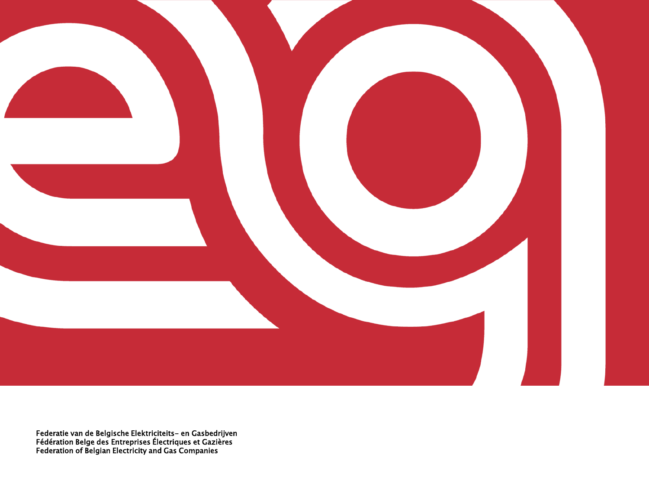

Federatie van de Belgische Elektriciteits- en Gasbedrijven Fédération Belge des Entreprises Électriques et Gazières Federation of Belgian Electricity and Gas Companies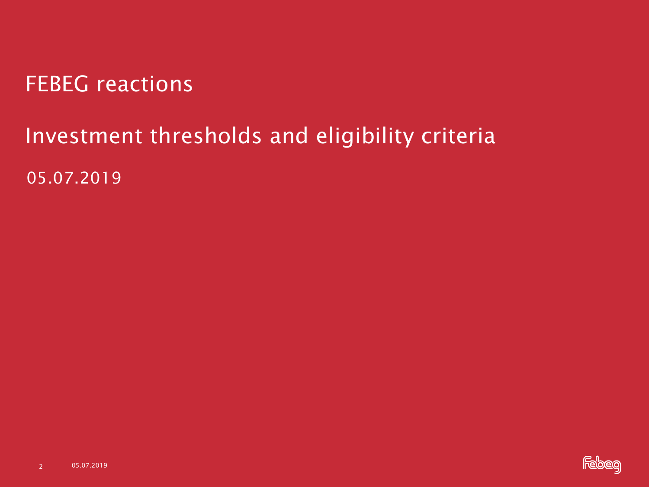FEBEG reactions

## Investment thresholds and eligibility criteria

05.07.2019

2 05.07.2019

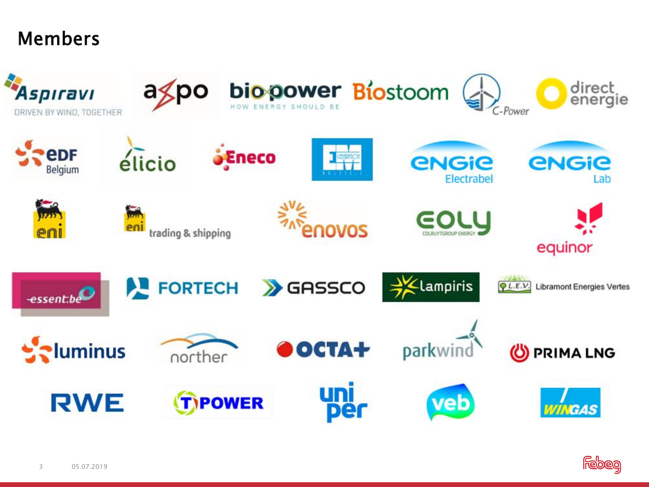#### Members



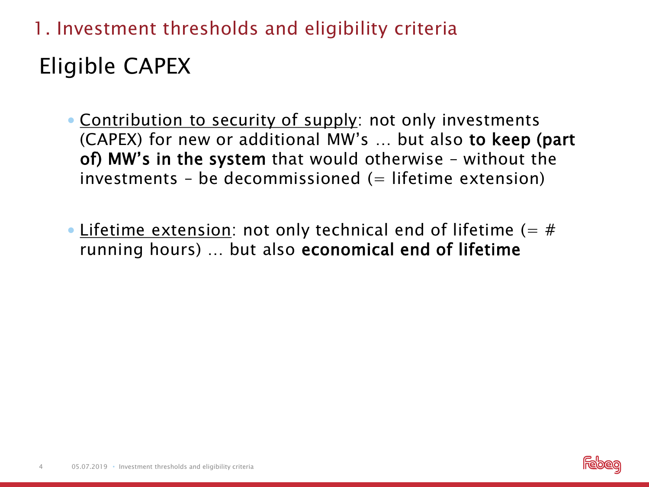Eligible CAPEX 1. Investment thresholds and eligibility criteria

- Contribution to security of supply: not only investments (CAPEX) for new or additional MW's … but also to keep (part of) MW's in the system that would otherwise – without the investments – be decommissioned  $($  = lifetime extension)
- Lifetime extension: not only technical end of lifetime  $(=$  # running hours) … but also economical end of lifetime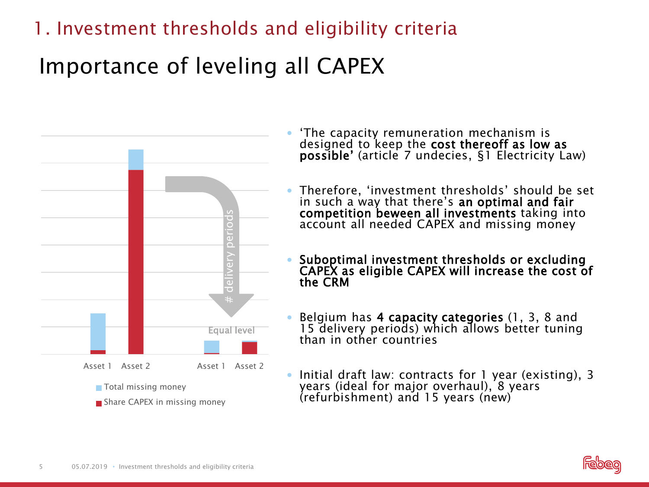## Importance of leveling all CAPEX



- 'The capacity remuneration mechanism is designed to keep the cost thereoff as low as possible' (article 7 undecies, §1 Electricity Law)
- Therefore, 'investment thresholds' should be set in such a way that there's an optimal and fair competition beween all investments taking into account all needed CAPEX and missing money
- Suboptimal investment thresholds or excluding CAPEX as eligible CAPEX will increase the cost of the CRM
- Belgium has 4 capacity categories (1, 3, 8 and 15 delivery periods) which allows better tuning than in other countries
- Initial draft law: contracts for 1 year (existing), 3 years (ideal for major overhaul), 8 years (refurbishment) and 15 years (new)

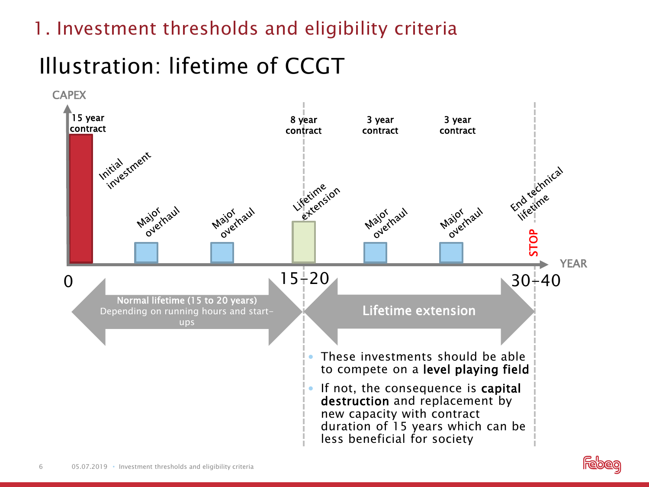# Illustration: lifetime of CCGT



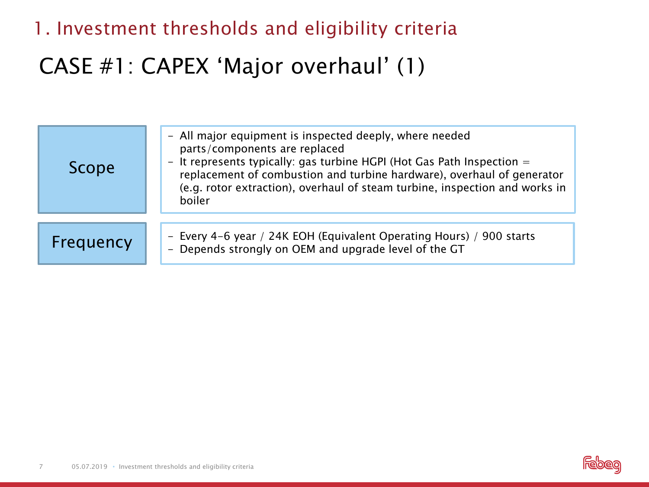#### CASE #1: CAPEX 'Major overhaul' (1)

| Scope     | - All major equipment is inspected deeply, where needed<br>parts/components are replaced<br>- It represents typically: gas turbine HGPI (Hot Gas Path Inspection $=$<br>replacement of combustion and turbine hardware), overhaul of generator<br>(e.g. rotor extraction), overhaul of steam turbine, inspection and works in<br>boiler |
|-----------|-----------------------------------------------------------------------------------------------------------------------------------------------------------------------------------------------------------------------------------------------------------------------------------------------------------------------------------------|
| Frequency | - Every 4-6 year / 24K EOH (Equivalent Operating Hours) / 900 starts<br>- Depends strongly on OEM and upgrade level of the GT                                                                                                                                                                                                           |

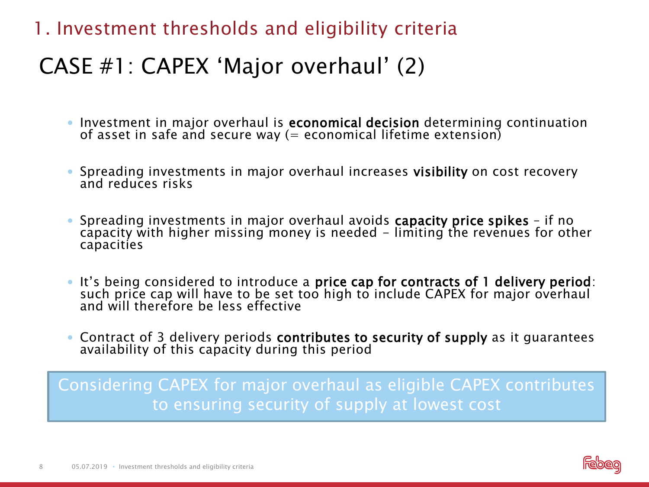#### CASE #1: CAPEX 'Major overhaul' (2)

- **Investment in major overhaul is economical decision** determining continuation of asset in safe and secure way (= economical lifetime extension)
- Spreading investments in major overhaul increases visibility on cost recovery and reduces risks
- Spreading investments in major overhaul avoids capacity price spikes if no capacity with higher missing money is needed - limiting the revenues for other capacities
- It's being considered to introduce a price cap for contracts of 1 delivery period: such price cap will have to be set too high to include CAPEX for major overhaul and will therefore be less effective
- Contract of 3 delivery periods contributes to security of supply as it guarantees availability of this capacity during this period

Considering CAPEX for major overhaul as eligible CAPEX contributes to ensuring security of supply at lowest cost

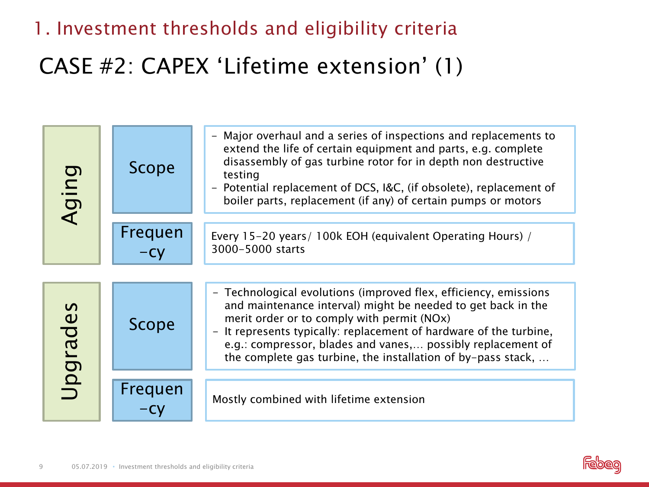### CASE #2: CAPEX 'Lifetime extension' (1)

| <b>Aging</b> | Scope                                                       | Major overhaul and a series of inspections and replacements to<br>extend the life of certain equipment and parts, e.g. complete<br>disassembly of gas turbine rotor for in depth non destructive<br>testing<br>Potential replacement of DCS, I&C, (if obsolete), replacement of<br>boiler parts, replacement (if any) of certain pumps or motors                                    |
|--------------|-------------------------------------------------------------|-------------------------------------------------------------------------------------------------------------------------------------------------------------------------------------------------------------------------------------------------------------------------------------------------------------------------------------------------------------------------------------|
|              | Frequen<br>$-Cy$                                            | Every 15-20 years/ 100k EOH (equivalent Operating Hours) /<br>3000-5000 starts                                                                                                                                                                                                                                                                                                      |
| Upgrades     | Scope                                                       | - Technological evolutions (improved flex, efficiency, emissions<br>and maintenance interval) might be needed to get back in the<br>merit order or to comply with permit (NOx)<br>- It represents typically: replacement of hardware of the turbine,<br>e.g.: compressor, blades and vanes, possibly replacement of<br>the complete gas turbine, the installation of by-pass stack, |
|              | Frequen<br>$-Cy$                                            | Mostly combined with lifetime extension                                                                                                                                                                                                                                                                                                                                             |
| 9            | 05.07.2019 • Investment thresholds and eligibility criteria |                                                                                                                                                                                                                                                                                                                                                                                     |

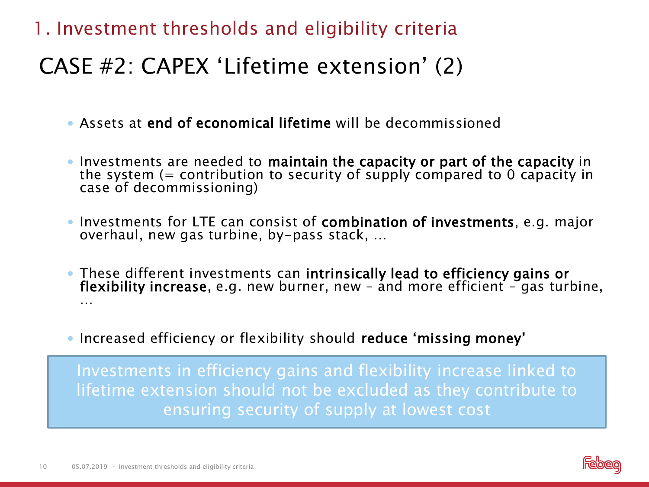#### CASE #2: CAPEX 'Lifetime extension' (2)

- Assets at end of economical lifetime will be decommissioned
- Investments are needed to maintain the capacity or part of the capacity in the system  $(=$  contribution to security of supply compared to 0 capacity in case of decommissioning)
- Investments for LTE can consist of **combination of investments**, e.g. major overhaul, new gas turbine, by-pass stack, …
- . These different investments can intrinsically lead to efficiency gains or flexibility increase, e.g. new burner, new – and more efficient – gas turbine, …
- Increased efficiency or flexibility should reduce 'missing money'

Investments in efficiency gains and flexibility increase linked to lifetime extension should not be excluded as they contribute to ensuring security of supply at lowest cost

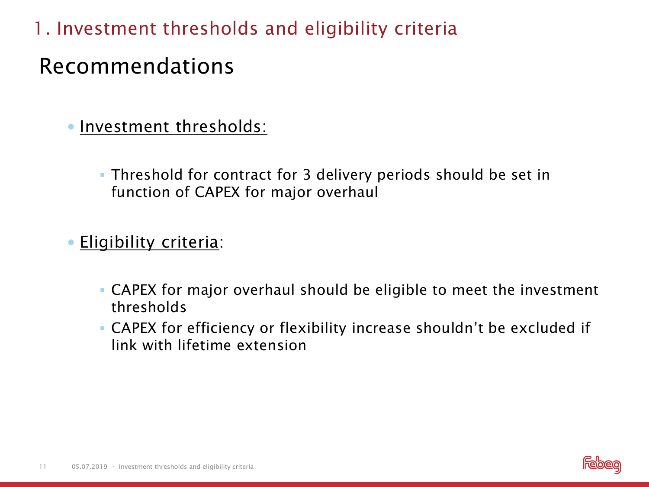#### Recommendations

• Investment thresholds:

 Threshold for contract for 3 delivery periods should be set in function of CAPEX for major overhaul

**Eligibility criteria:** 

- CAPEX for major overhaul should be eligible to meet the investment thresholds
- CAPEX for efficiency or flexibility increase shouldn't be excluded if link with lifetime extension